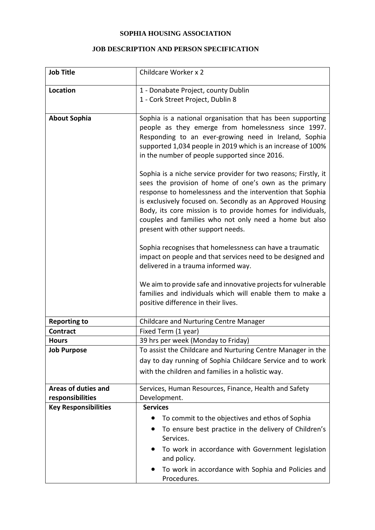## **SOPHIA HOUSING ASSOCIATION**

## **JOB DESCRIPTION AND PERSON SPECIFICATION**

| <b>Job Title</b>                               | Childcare Worker x 2                                                                                                                                                                                                                                                                                                                                                                                               |
|------------------------------------------------|--------------------------------------------------------------------------------------------------------------------------------------------------------------------------------------------------------------------------------------------------------------------------------------------------------------------------------------------------------------------------------------------------------------------|
| Location                                       | 1 - Donabate Project, county Dublin                                                                                                                                                                                                                                                                                                                                                                                |
|                                                | 1 - Cork Street Project, Dublin 8                                                                                                                                                                                                                                                                                                                                                                                  |
| <b>About Sophia</b>                            | Sophia is a national organisation that has been supporting<br>people as they emerge from homelessness since 1997.<br>Responding to an ever-growing need in Ireland, Sophia<br>supported 1,034 people in 2019 which is an increase of 100%<br>in the number of people supported since 2016.                                                                                                                         |
|                                                | Sophia is a niche service provider for two reasons; Firstly, it<br>sees the provision of home of one's own as the primary<br>response to homelessness and the intervention that Sophia<br>is exclusively focused on. Secondly as an Approved Housing<br>Body, its core mission is to provide homes for individuals,<br>couples and families who not only need a home but also<br>present with other support needs. |
|                                                | Sophia recognises that homelessness can have a traumatic<br>impact on people and that services need to be designed and<br>delivered in a trauma informed way.                                                                                                                                                                                                                                                      |
|                                                | We aim to provide safe and innovative projects for vulnerable<br>families and individuals which will enable them to make a<br>positive difference in their lives.                                                                                                                                                                                                                                                  |
| <b>Reporting to</b>                            | <b>Childcare and Nurturing Centre Manager</b>                                                                                                                                                                                                                                                                                                                                                                      |
| <b>Contract</b>                                | Fixed Term (1 year)                                                                                                                                                                                                                                                                                                                                                                                                |
| <b>Hours</b>                                   | 39 hrs per week (Monday to Friday)                                                                                                                                                                                                                                                                                                                                                                                 |
| <b>Job Purpose</b>                             | To assist the Childcare and Nurturing Centre Manager in the                                                                                                                                                                                                                                                                                                                                                        |
|                                                | day to day running of Sophia Childcare Service and to work                                                                                                                                                                                                                                                                                                                                                         |
|                                                | with the children and families in a holistic way.                                                                                                                                                                                                                                                                                                                                                                  |
| <b>Areas of duties and</b><br>responsibilities | Services, Human Resources, Finance, Health and Safety<br>Development.                                                                                                                                                                                                                                                                                                                                              |
| <b>Key Responsibilities</b>                    | <b>Services</b>                                                                                                                                                                                                                                                                                                                                                                                                    |
|                                                | To commit to the objectives and ethos of Sophia                                                                                                                                                                                                                                                                                                                                                                    |
|                                                | To ensure best practice in the delivery of Children's                                                                                                                                                                                                                                                                                                                                                              |
|                                                | Services.                                                                                                                                                                                                                                                                                                                                                                                                          |
|                                                | To work in accordance with Government legislation<br>$\bullet$<br>and policy.                                                                                                                                                                                                                                                                                                                                      |
|                                                | To work in accordance with Sophia and Policies and<br>Procedures.                                                                                                                                                                                                                                                                                                                                                  |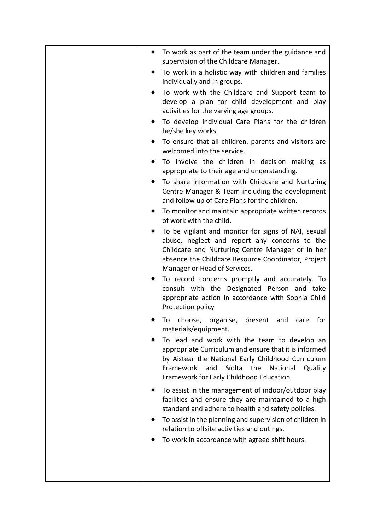| To work as part of the team under the guidance and<br>supervision of the Childcare Manager.<br>To work in a holistic way with children and families<br>individually and in groups.<br>To work with the Childcare and Support team to<br>develop a plan for child development and play<br>activities for the varying age groups.<br>To develop individual Care Plans for the children<br>he/she key works.<br>To ensure that all children, parents and visitors are<br>welcomed into the service.<br>To involve the children in decision making as<br>appropriate to their age and understanding.<br>To share information with Childcare and Nurturing<br>Centre Manager & Team including the development<br>and follow up of Care Plans for the children.<br>To monitor and maintain appropriate written records<br>of work with the child.<br>To be vigilant and monitor for signs of NAI, sexual<br>abuse, neglect and report any concerns to the<br>Childcare and Nurturing Centre Manager or in her<br>absence the Childcare Resource Coordinator, Project<br>Manager or Head of Services.<br>To record concerns promptly and accurately. To<br>consult with the Designated Person and take<br>appropriate action in accordance with Sophia Child<br>Protection policy<br>choose, organise, present<br>for<br>To<br>and<br>care<br>materials/equipment.<br>To lead and work with the team to develop an<br>appropriate Curriculum and ensure that it is informed<br>by Aistear the National Early Childhood Curriculum<br>Framework<br>and<br>Síolta<br>the<br>National<br>Quality<br>Framework for Early Childhood Education<br>To assist in the management of indoor/outdoor play<br>facilities and ensure they are maintained to a high |
|------------------------------------------------------------------------------------------------------------------------------------------------------------------------------------------------------------------------------------------------------------------------------------------------------------------------------------------------------------------------------------------------------------------------------------------------------------------------------------------------------------------------------------------------------------------------------------------------------------------------------------------------------------------------------------------------------------------------------------------------------------------------------------------------------------------------------------------------------------------------------------------------------------------------------------------------------------------------------------------------------------------------------------------------------------------------------------------------------------------------------------------------------------------------------------------------------------------------------------------------------------------------------------------------------------------------------------------------------------------------------------------------------------------------------------------------------------------------------------------------------------------------------------------------------------------------------------------------------------------------------------------------------------------------------------------------------------------------------------------------|
| standard and adhere to health and safety policies.<br>To assist in the planning and supervision of children in<br>relation to offsite activities and outings.<br>To work in accordance with agreed shift hours.                                                                                                                                                                                                                                                                                                                                                                                                                                                                                                                                                                                                                                                                                                                                                                                                                                                                                                                                                                                                                                                                                                                                                                                                                                                                                                                                                                                                                                                                                                                                |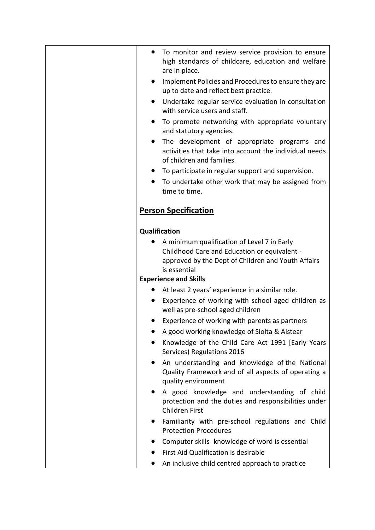| To monitor and review service provision to ensure                                                                                                                 |
|-------------------------------------------------------------------------------------------------------------------------------------------------------------------|
| high standards of childcare, education and welfare<br>are in place.                                                                                               |
| Implement Policies and Procedures to ensure they are<br>up to date and reflect best practice.                                                                     |
| Undertake regular service evaluation in consultation<br>with service users and staff.                                                                             |
| To promote networking with appropriate voluntary<br>$\bullet$<br>and statutory agencies.                                                                          |
| The development of appropriate programs and<br>$\bullet$<br>activities that take into account the individual needs<br>of children and families.                   |
| To participate in regular support and supervision.                                                                                                                |
| To undertake other work that may be assigned from<br>time to time.                                                                                                |
| <b>Person Specification</b>                                                                                                                                       |
| Qualification                                                                                                                                                     |
| A minimum qualification of Level 7 in Early<br>Childhood Care and Education or equivalent -<br>approved by the Dept of Children and Youth Affairs<br>is essential |
| <b>Experience and Skills</b>                                                                                                                                      |
| At least 2 years' experience in a similar role.                                                                                                                   |
| Experience of working with school aged children as<br>well as pre-school aged children                                                                            |
| Experience of working with parents as partners                                                                                                                    |
| A good working knowledge of Síolta & Aistear                                                                                                                      |
| Knowledge of the Child Care Act 1991 [Early Years<br>Services) Regulations 2016                                                                                   |
| An understanding and knowledge of the National<br>Quality Framework and of all aspects of operating a<br>quality environment                                      |
| A good knowledge and understanding of child<br>protection and the duties and responsibilities under<br>Children First                                             |
| Familiarity with pre-school regulations and Child<br><b>Protection Procedures</b>                                                                                 |
| Computer skills- knowledge of word is essential                                                                                                                   |
| First Aid Qualification is desirable                                                                                                                              |
| An inclusive child centred approach to practice                                                                                                                   |